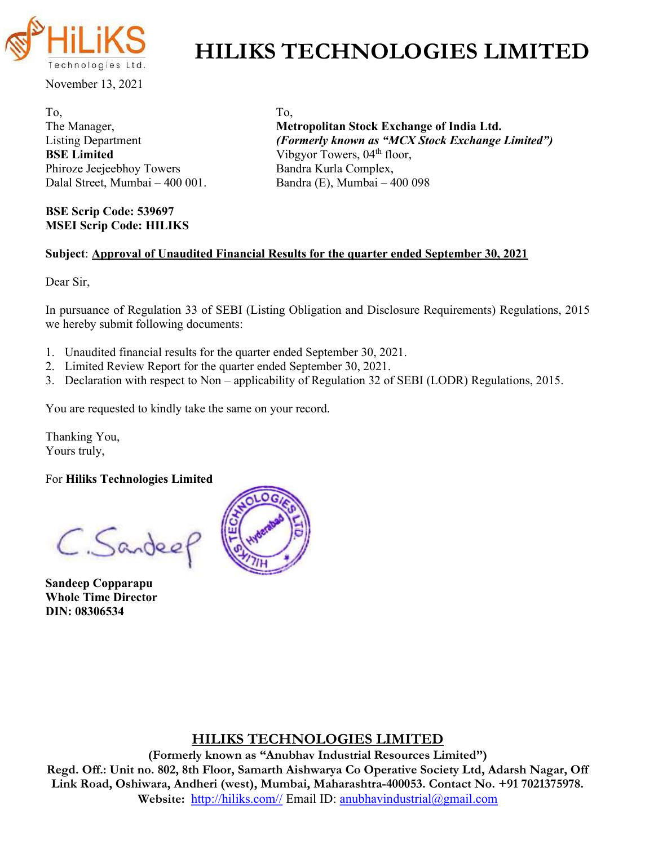

# HILIKS TECHNOLOGIES LIMITED

November 13, 2021

To, To, **BSE Limited** Vibgyor Towers,  $04<sup>th</sup>$  floor, Phiroze Jeejeebhoy Towers Bandra Kurla Complex, Dalal Street, Mumbai – 400 001. Bandra (E), Mumbai – 400 098

BSE Scrip Code: 539697 MSEI Scrip Code: HILIKS

The Manager, The Manager, Metropolitan Stock Exchange of India Ltd. Listing Department (Formerly known as "MCX Stock Exchange Limited")

### Subject: Approval of Unaudited Financial Results for the quarter ended September 30, 2021

Dear Sir,

In pursuance of Regulation 33 of SEBI (Listing Obligation and Disclosure Requirements) Regulations, 2015 we hereby submit following documents:

- 1. Unaudited financial results for the quarter ended September 30, 2021.
- 2. Limited Review Report for the quarter ended September 30, 2021.
- 3. Declaration with respect to Non applicability of Regulation 32 of SEBI (LODR) Regulations, 2015.

You are requested to kindly take the same on your record.

Thanking You, Yours truly,

For Hiliks Technologies Limited

C. Sandee

Sandeep Copparapu Whole Time Director DIN: 08306534



## HILIKS TECHNOLOGIES LIMITED

(Formerly known as "Anubhav Industrial Resources Limited") Regd. Off.: Unit no. 802, 8th Floor, Samarth Aishwarya Co Operative Society Ltd, Adarsh Nagar, Off Link Road, Oshiwara, Andheri (west), Mumbai, Maharashtra-400053. Contact No. +91 7021375978. Website: http://hiliks.com// Email ID: anubhavindustrial@gmail.com